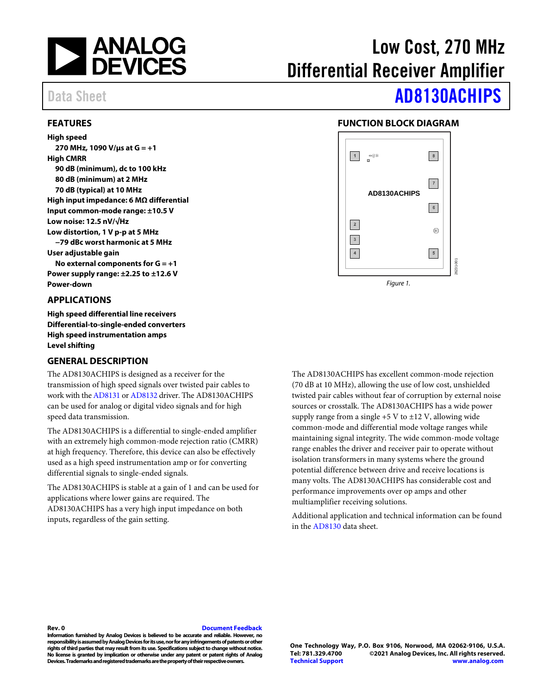

# Low Cost, 270 MHz Differential Receiver Amplifier

### <span id="page-0-0"></span>**FEATURES**

**High speed 270 MHz, 1090 V/µs at G = +1 High CMRR 90 dB (minimum), dc to 100 kHz 80 dB (minimum) at 2 MHz 70 dB (typical) at 10 MHz High input impedance: 6 MΩ differential Input common-mode range: ±10.5 V Low noise: 12.5 nV/√Hz Low distortion, 1 V p-p at 5 MHz −79 dBc worst harmonic at 5 MHz User adjustable gain No external components for G = +1 Power supply range: ±2.25 to ±12.6 V Power-down**

#### <span id="page-0-1"></span>**APPLICATIONS**

**High speed differential line receivers Differential-to-single-ended converters High speed instrumentation amps Level shifting**

#### <span id="page-0-3"></span>**GENERAL DESCRIPTION**

The AD8130ACHIPS is designed as a receiver for the transmission of high speed signals over twisted pair cables to work with th[e AD8131](https://www.analog.com/AD8131?doc=AD8130ACHIPS.pdf) o[r AD8132](https://www.analog.com/AD8132?doc=AD8130ACHIPS.pdf) driver. The AD8130ACHIPS can be used for analog or digital video signals and for high speed data transmission.

The AD8130ACHIPS is a differential to single-ended amplifier with an extremely high common-mode rejection ratio (CMRR) at high frequency. Therefore, this device can also be effectively used as a high speed instrumentation amp or for converting differential signals to single-ended signals.

The AD8130ACHIPS is stable at a gain of 1 and can be used for applications where lower gains are required. The AD8130ACHIPS has a very high input impedance on both inputs, regardless of the gain setting.

# Data Sheet **[AD8130ACHIPS](https://www.analog.com/ad8130?doc=AD8130ACHIPS.pdf)**

### **FUNCTION BLOCK DIAGRAM**

<span id="page-0-2"></span>

The AD8130ACHIPS has excellent common-mode rejection (70 dB at 10 MHz), allowing the use of low cost, unshielded twisted pair cables without fear of corruption by external noise sources or crosstalk. The AD8130ACHIPS has a wide power supply range from a single  $+5$  V to  $\pm$ 12 V, allowing wide common-mode and differential mode voltage ranges while maintaining signal integrity. The wide common-mode voltage range enables the driver and receiver pair to operate without isolation transformers in many systems where the ground potential difference between drive and receive locations is many volts. The AD8130ACHIPS has considerable cost and performance improvements over op amps and other multiamplifier receiving solutions.

Additional application and technical information can be found in the [AD8130](https://www.analog.com/AD8130?doc=AD8130ACHIPS.pdf) data sheet.

#### **Rev. 0 [Document Feedback](https://form.analog.com/Form_Pages/feedback/documentfeedback.aspx?doc=AD8130ACHIPS.pdf&product=AD8130ACHIPS&rev=0)**

**Information furnished by Analog Devices is believed to be accurate and reliable. However, no**  responsibility is assumed by Analog Devices for its use, nor for any infringements of patents or other **rights of third parties that may result from its use. Specifications subject to change without notice. No license is granted by implication or otherwise under any patent or patent rights of Analog Devices. Trademarksand registered trademarks are the property of their respectiveowners.**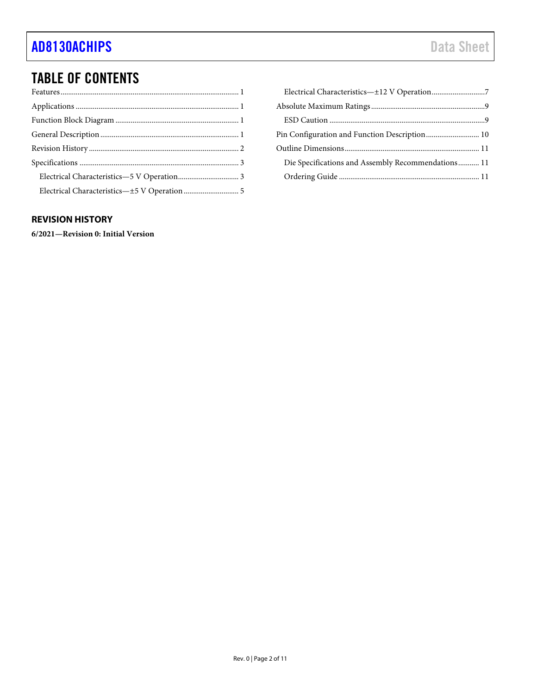## TABLE OF CONTENTS

| Pin Configuration and Function Description 10      |  |
|----------------------------------------------------|--|
|                                                    |  |
| Die Specifications and Assembly Recommendations 11 |  |
|                                                    |  |
|                                                    |  |

### <span id="page-1-0"></span>**REVISION HISTORY**

**6/2021—Revision 0: Initial Version**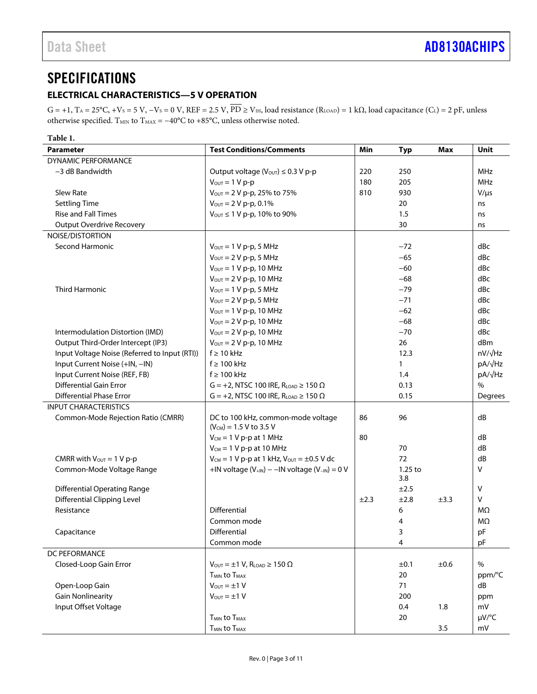### <span id="page-2-0"></span>**SPECIFICATIONS**

### <span id="page-2-1"></span>**ELECTRICAL CHARACTERISTICS—5 V OPERATION**

 $G = +1$ ,  $T_A = 25^{\circ}C$ ,  $+V_S = 5$  V,  $-V_S = 0$  V,  $REF = 2.5$  V,  $\overline{PD} \ge V_{\text{IH}}$ , load resistance  $(R_{\text{LOAD}}) = 1$  k $\Omega$ , load capacitance  $(C_L) = 2$  pF, unless otherwise specified. T<sub>MIN</sub> to T<sub>MAX</sub> =  $-40^{\circ}$ C to +85 $^{\circ}$ C, unless otherwise noted.

| Table 1.                                      |                                                                          |      |              |      |                |
|-----------------------------------------------|--------------------------------------------------------------------------|------|--------------|------|----------------|
| <b>Parameter</b>                              | <b>Test Conditions/Comments</b>                                          | Min  | <b>Typ</b>   | Max  | Unit           |
| <b>DYNAMIC PERFORMANCE</b>                    |                                                                          |      |              |      |                |
| -3 dB Bandwidth                               | Output voltage ( $V_{\text{OUT}}$ ) $\leq 0.3$ V p-p                     | 220  | 250          |      | <b>MHz</b>     |
|                                               | $V_{OUT} = 1 V p-p$                                                      | 180  | 205          |      | <b>MHz</b>     |
| Slew Rate                                     | Vout = 2 V p-p, 25% to 75%                                               | 810  | 930          |      | $V/\mu s$      |
| <b>Settling Time</b>                          | $V_{OUT} = 2 V p-p, 0.1%$                                                |      | 20           |      | ns             |
| <b>Rise and Fall Times</b>                    | $V_{\text{OUT}} \leq 1 V p$ -p, 10% to 90%                               |      | 1.5          |      | ns             |
| <b>Output Overdrive Recovery</b>              |                                                                          |      | 30           |      | ns             |
| NOISE/DISTORTION                              |                                                                          |      |              |      |                |
| Second Harmonic                               | $V_{\text{OUT}} = 1 V p-p$ , 5 MHz                                       |      | $-72$        |      | dBc            |
|                                               | $V_{OUT} = 2 V p-p$ , 5 MHz                                              |      | $-65$        |      | dBc            |
|                                               | $V_{\text{OUT}} = 1 V p-p$ , 10 MHz                                      |      | $-60$        |      | dBc            |
|                                               | $V_{\text{OUT}} = 2 V p-p$ , 10 MHz                                      |      | $-68$        |      | dBc            |
| <b>Third Harmonic</b>                         | $V_{OUT} = 1 V p-p$ , 5 MHz                                              |      | $-79$        |      | dBc            |
|                                               | $V_{OUT} = 2 V p-p$ , 5 MHz                                              |      | $-71$        |      | dBc            |
|                                               | $V_{\text{OUT}} = 1 V p-p$ , 10 MHz                                      |      | $-62$        |      | dBc            |
|                                               | $V_{\text{OUT}} = 2 V p-p$ , 10 MHz                                      |      | $-68$        |      | dBc            |
| Intermodulation Distortion (IMD)              | $V_{\text{OUT}} = 2 V p-p$ , 10 MHz                                      |      | $-70$        |      | dBc            |
| Output Third-Order Intercept (IP3)            | $V_{\text{OUT}} = 2 V p-p$ , 10 MHz                                      |      | 26           |      | dBm            |
| Input Voltage Noise (Referred to Input (RTI)) | $f \geq 10$ kHz                                                          |      | 12.3         |      | $nV/\sqrt{Hz}$ |
| Input Current Noise (+IN, -IN)                | $f \geq 100$ kHz                                                         |      | $\mathbf{1}$ |      | pA/√Hz         |
| Input Current Noise (REF, FB)                 | $f \geq 100$ kHz                                                         |      | 1.4          |      | $pA/\sqrt{Hz}$ |
| <b>Differential Gain Error</b>                | $G = +2$ , NTSC 100 IRE, R <sub>LOAD</sub> $\geq 150 \Omega$             |      | 0.13         |      | $\%$           |
| <b>Differential Phase Error</b>               | $G = +2$ , NTSC 100 IRE, R <sub>LOAD</sub> $\geq 150 \Omega$             |      | 0.15         |      | Degrees        |
| <b>INPUT CHARACTERISTICS</b>                  |                                                                          |      |              |      |                |
| Common-Mode Rejection Ratio (CMRR)            | DC to 100 kHz, common-mode voltage<br>$(V_{CM})$ = 1.5 V to 3.5 V        | 86   | 96           |      | dB             |
|                                               | $V_{CM}$ = 1 V p-p at 1 MHz                                              | 80   |              |      | dB             |
|                                               | $V_{CM} = 1 V p-p$ at 10 MHz                                             |      | 70           |      | dB             |
| CMRR with $V_{\text{OUT}} = 1$ V p-p          | $V_{CM} = 1 V p-p$ at 1 kHz, $V_{OUT} = \pm 0.5 V$ dc                    |      | 72           |      | dB             |
| Common-Mode Voltage Range                     | +IN voltage $(V_{+IN})$ – -IN voltage $(V_{-IN})$ = 0 V                  |      | $1.25$ to    |      | V              |
|                                               |                                                                          |      | 3.8          |      |                |
| <b>Differential Operating Range</b>           |                                                                          |      | $\pm 2.5$    |      | V              |
| <b>Differential Clipping Level</b>            |                                                                          | ±2.3 | ±2.8         | ±3.3 | V              |
| Resistance                                    | <b>Differential</b>                                                      |      | 6            |      | MΩ             |
|                                               | Common mode                                                              |      | 4            |      | MΩ             |
| Capacitance                                   | Differential                                                             |      | 3            |      | pF             |
|                                               | Common mode                                                              |      | 4            |      | pF             |
| DC PEFORMANCE                                 |                                                                          |      |              |      |                |
| Closed-Loop Gain Error                        | $V_{\text{OUT}} = \pm 1 \text{ V}$ , R <sub>LOAD</sub> $\geq 150 \Omega$ |      | ±0.1         | ±0.6 | %              |
|                                               | T <sub>MIN</sub> to T <sub>MAX</sub>                                     |      | 20           |      | ppm/°C         |
| Open-Loop Gain                                | $V_{\text{OUT}} = \pm 1 V$                                               |      | 71           |      | dB             |
| <b>Gain Nonlinearity</b>                      | $V_{\text{OUT}} = \pm 1 V$                                               |      | 200          |      | ppm            |
| Input Offset Voltage                          |                                                                          |      | 0.4          | 1.8  | mV             |
|                                               | <b>T<sub>MIN</sub></b> to T <sub>MAX</sub>                               |      | 20           |      | $\mu V$ /°C    |
|                                               | <b>TMIN to TMAX</b>                                                      |      |              | 3.5  | mV             |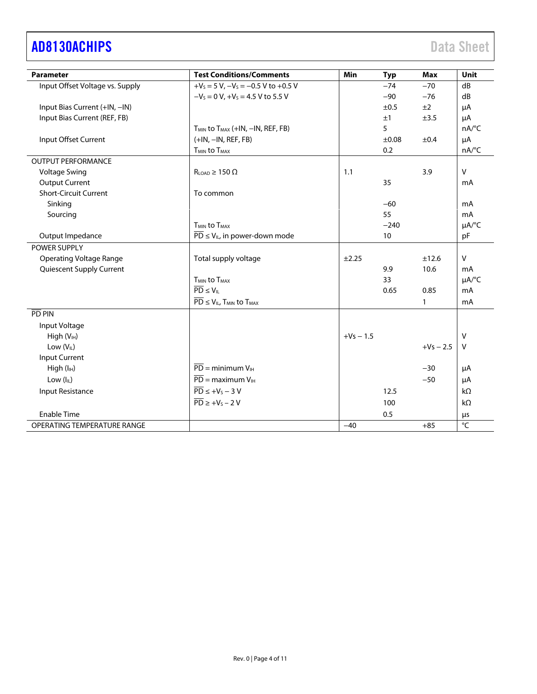# [AD8130ACHIPS](https://www.analog.com/ad8130?doc=AD8130ACHIPS.pdf) Data Sheet

| <b>Parameter</b>                | <b>Test Conditions/Comments</b>                                    | <b>Min</b>  | <b>Typ</b> | <b>Max</b>  | Unit                   |
|---------------------------------|--------------------------------------------------------------------|-------------|------------|-------------|------------------------|
| Input Offset Voltage vs. Supply | $+V_s = 5 V$ , $-V_s = -0.5 V$ to $+0.5 V$                         |             | $-74$      | $-70$       | dB                     |
|                                 | $-V_s = 0 V$ , $+V_s = 4.5 V$ to 5.5 V                             |             | $-90$      | $-76$       | dB                     |
| Input Bias Current (+IN, -IN)   |                                                                    |             | ±0.5       | ±2          | μA                     |
| Input Bias Current (REF, FB)    |                                                                    |             | ±1         | ±3.5        | μA                     |
|                                 | T <sub>MIN</sub> to T <sub>MAX</sub> (+IN, -IN, REF, FB)           |             | 5          |             | $nA$ <sup>o</sup> C    |
| Input Offset Current            | $(+IN, -IN, REF, FB)$                                              |             | $\pm 0.08$ | ±0.4        | μA                     |
|                                 | <b>TMIN to TMAX</b>                                                |             | 0.2        |             | nA/°C                  |
| <b>OUTPUT PERFORMANCE</b>       |                                                                    |             |            |             |                        |
| <b>Voltage Swing</b>            | $R_{LOAD} \geq 150 \Omega$                                         | 1.1         |            | 3.9         | $\vee$                 |
| <b>Output Current</b>           |                                                                    |             | 35         |             | mA                     |
| <b>Short-Circuit Current</b>    | To common                                                          |             |            |             |                        |
| Sinking                         |                                                                    |             | $-60$      |             | mA                     |
| Sourcing                        |                                                                    |             | 55         |             | mA                     |
|                                 | T <sub>MIN</sub> to T <sub>MAX</sub>                               |             | $-240$     |             | $\mu A$ <sup>o</sup> C |
| Output Impedance                | $\overline{PD} \le V_{IL}$ , in power-down mode                    |             | 10         |             | pF                     |
| POWER SUPPLY                    |                                                                    |             |            |             |                        |
| <b>Operating Voltage Range</b>  | Total supply voltage                                               | ±2.25       |            | ±12.6       | $\vee$                 |
| Quiescent Supply Current        |                                                                    |             | 9.9        | 10.6        | mA                     |
|                                 | <b>T<sub>MIN</sub></b> to T <sub>MAX</sub>                         |             | 33         |             | $\mu A$ <sup>o</sup> C |
|                                 | $\overline{PD} \leq V_{\parallel}$                                 |             | 0.65       | 0.85        | mA                     |
|                                 | $\overline{PD} \leq V_{IL}$ , T <sub>MIN</sub> to T <sub>MAX</sub> |             |            | 1           | mA                     |
| PD PIN                          |                                                                    |             |            |             |                        |
| Input Voltage                   |                                                                    |             |            |             |                        |
| High (V <sub>IH</sub> )         |                                                                    | $+Vs - 1.5$ |            |             | $\mathsf{V}$           |
| Low (V <sub>IL</sub> )          |                                                                    |             |            | $+Vs - 2.5$ | $\vee$                 |
| <b>Input Current</b>            |                                                                    |             |            |             |                        |
| High (I <sub>IH</sub> )         | $\overline{PD}$ = minimum $V_{\text{H}}$                           |             |            | $-30$       | μA                     |
| Low (IL)                        | $\overline{PD}$ = maximum $V_{\text{IH}}$                          |             |            | $-50$       | μA                     |
| Input Resistance                | $\overline{PD} \leq +V_S - 3V$                                     |             | 12.5       |             | $k\Omega$              |
|                                 | $\overline{PD} \geq +V_S - 2V$                                     |             | 100        |             | $k\Omega$              |
| <b>Enable Time</b>              |                                                                    |             | 0.5        |             | μs                     |
| OPERATING TEMPERATURE RANGE     |                                                                    | $-40$       |            | $+85$       | °C                     |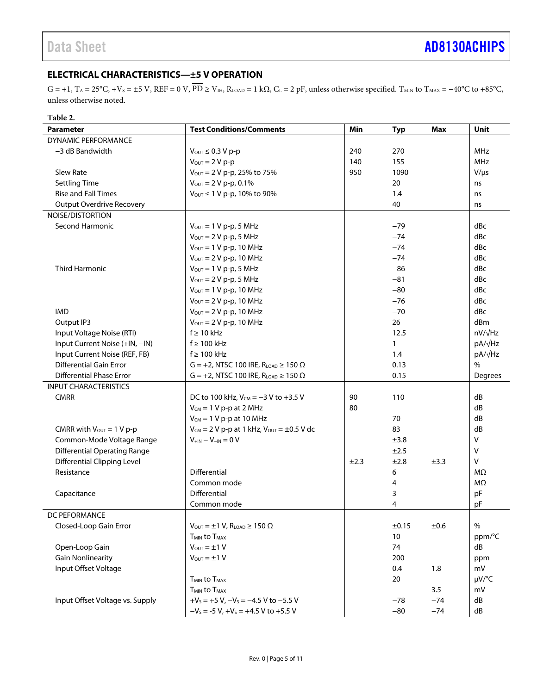### <span id="page-4-0"></span>**ELECTRICAL CHARACTERISTICS—±5 V OPERATION**

 $G = +1$ ,  $T_A = 25^{\circ}C$ ,  $+V_S = \pm 5$  V,  $REF = 0$  V,  $\overline{PD} \ge V_{IH}$ ,  $R_{LOAD} = 1$  k $\Omega$ ,  $C_L = 2$  pF, unless otherwise specified. T<sub>MIN</sub> to  $T_{MAX} = -40^{\circ}C$  to +85°C, unless otherwise noted.

| Table 2.                             |                                                                          |            |        |      |                |
|--------------------------------------|--------------------------------------------------------------------------|------------|--------|------|----------------|
| <b>Parameter</b>                     | <b>Test Conditions/Comments</b><br>Min<br><b>Max</b><br><b>Typ</b>       |            |        |      | <b>Unit</b>    |
| DYNAMIC PERFORMANCE                  |                                                                          |            |        |      |                |
| -3 dB Bandwidth                      | $V_{\text{OUT}} \leq 0.3 V p-p$                                          | 240        | 270    |      | <b>MHz</b>     |
|                                      | $V_{\text{OUT}} = 2 V p-p$                                               | 140<br>155 |        |      | <b>MHz</b>     |
| Slew Rate                            | Vout = 2 V p-p, 25% to 75%                                               | 950        | 1090   |      | $V/\mu s$      |
| <b>Settling Time</b>                 | $V_{OUT} = 2 V p-p, 0.1%$                                                |            | 20     |      | ns             |
| <b>Rise and Fall Times</b>           | Vout ≤ 1 V p-p, 10% to 90%                                               |            | 1.4    |      | ns             |
| <b>Output Overdrive Recovery</b>     |                                                                          |            | 40     |      | ns             |
| NOISE/DISTORTION                     |                                                                          |            |        |      |                |
| Second Harmonic                      | $V_{OUT} = 1 V p-p$ , 5 MHz                                              |            | $-79$  |      | dBc            |
|                                      | $V_{\text{OUT}} = 2 V p-p$ , 5 MHz                                       |            | $-74$  |      | dBc            |
|                                      | $V_{\text{OUT}} = 1 V p-p$ , 10 MHz                                      |            | $-74$  |      | dBc            |
|                                      | $V_{\text{OUT}} = 2 V p-p$ , 10 MHz                                      |            | $-74$  |      | dBc            |
| <b>Third Harmonic</b>                | $V_{OUT} = 1 V p-p$ , 5 MHz                                              |            | $-86$  |      | dBc            |
|                                      | $V_{OUT} = 2 V p-p$ , 5 MHz                                              |            | $-81$  |      | dBc            |
|                                      | $V_{\text{OUT}} = 1 V p-p$ , 10 MHz                                      |            | $-80$  |      | dBc            |
|                                      | $V_{\text{OUT}} = 2 V p-p$ , 10 MHz                                      |            | $-76$  |      | dBc            |
| <b>IMD</b>                           | $V_{\text{OUT}} = 2 V p-p$ , 10 MHz                                      |            | $-70$  |      | dBc            |
| Output IP3                           | $V_{\text{OUT}} = 2 V p-p$ , 10 MHz                                      |            | 26     |      | dBm            |
| Input Voltage Noise (RTI)            | $f \geq 10$ kHz                                                          |            | 12.5   |      | $nV/\sqrt{Hz}$ |
| Input Current Noise (+IN, -IN)       | $f \geq 100$ kHz                                                         |            | 1      |      | pA/√Hz         |
| Input Current Noise (REF, FB)        | $f \geq 100$ kHz                                                         | 1.4        |        |      | pA/√Hz         |
| <b>Differential Gain Error</b>       | $G = +2$ , NTSC 100 IRE, R <sub>LOAD</sub> $\geq 150 \Omega$             | 0.13       |        |      | $\frac{0}{0}$  |
| <b>Differential Phase Error</b>      | $G = +2$ , NTSC 100 IRE, R <sub>LOAD</sub> $\geq 150 \Omega$             | 0.15       |        |      | Degrees        |
| <b>INPUT CHARACTERISTICS</b>         |                                                                          |            |        |      |                |
| <b>CMRR</b>                          | DC to 100 kHz, $V_{CM} = -3 V$ to +3.5 V                                 | 90         | 110    |      | dB             |
|                                      |                                                                          | 80         |        |      | dB             |
|                                      | $V_{CM} = 1 V p-p$ at 2 MHz                                              |            | 70     |      | dB             |
|                                      | $V_{CM} = 1 V p-p$ at 10 MHz                                             |            |        |      |                |
| CMRR with $V_{\text{OUT}} = 1 V p-p$ | $V_{CM}$ = 2 V p-p at 1 kHz, $V_{OUT}$ = $\pm 0.5$ V dc                  |            | 83     |      | dB<br>v        |
| Common-Mode Voltage Range            | $V_{+IN} - V_{-IN} = 0 V$                                                |            | ±3.8   |      |                |
| <b>Differential Operating Range</b>  |                                                                          |            | ±2.5   |      | v              |
| <b>Differential Clipping Level</b>   |                                                                          | ±2.3       | ±2.8   | ±3.3 | v              |
| Resistance                           | Differential                                                             |            | 6      |      | MΩ             |
|                                      | Common mode                                                              |            | 4      |      | MΩ             |
| Capacitance                          | <b>Differential</b>                                                      |            | 3      |      | pF             |
|                                      | Common mode                                                              |            | 4      |      | pF             |
| DC PEFORMANCE                        |                                                                          |            |        |      |                |
| Closed-Loop Gain Error               | $V_{\text{OUT}} = \pm 1 \text{ V}$ , R <sub>LOAD</sub> $\geq 150 \Omega$ |            | ±0.15  | ±0.6 | $\%$           |
|                                      | <b>T<sub>MIN</sub></b> to T <sub>MAX</sub>                               |            | $10\,$ |      | ppm/°C         |
| Open-Loop Gain                       | $V_{OUT} = ±1 V$<br>74                                                   |            |        | dB   |                |
| <b>Gain Nonlinearity</b>             | $V_{\text{OUT}} = \pm 1 V$                                               | 200        |        |      | ppm            |
| Input Offset Voltage                 |                                                                          | 0.4<br>1.8 |        |      | mV             |
|                                      | <b>T<sub>MIN</sub></b> to T <sub>MAX</sub>                               |            | 20     |      | $\mu V$ /°C    |
|                                      | T <sub>MIN</sub> to T <sub>MAX</sub>                                     |            |        | 3.5  | mV             |
| Input Offset Voltage vs. Supply      | $+V_s = +5 V$ , $-V_s = -4.5 V$ to $-5.5 V$<br>$-78$<br>$-74$            |            |        |      | dB             |

 $-V_s = -5 V$ ,  $+V_s = +4.5 V$  to  $+5.5 V$   $-80$   $-74$  dB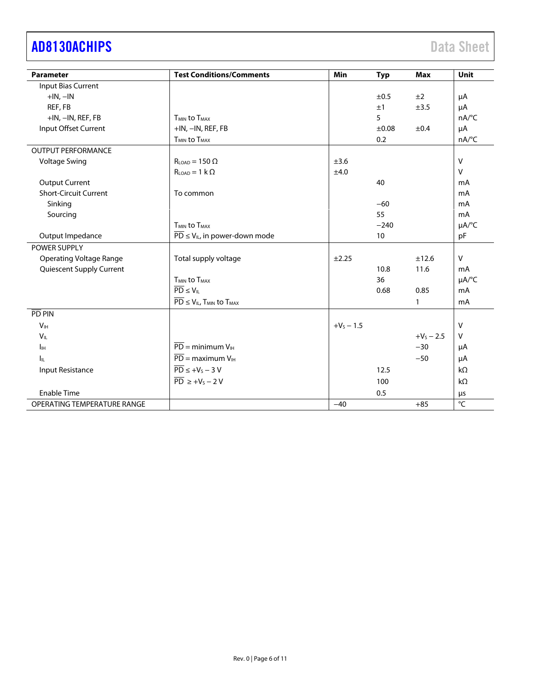# [AD8130ACHIPS](https://www.analog.com/ad8130?doc=AD8130ACHIPS.pdf) Data Sheet

| <b>Parameter</b>               | <b>Test Conditions/Comments</b>                                    | Min          | <b>Typ</b> | <b>Max</b>   | Unit           |
|--------------------------------|--------------------------------------------------------------------|--------------|------------|--------------|----------------|
| Input Bias Current             |                                                                    |              |            |              |                |
| $+IN, -IN$                     |                                                                    |              | ±0.5       | ±2           | μA             |
| REF, FB                        |                                                                    |              | ±1         | ±3.5         | μA             |
| +IN, -IN, REF, FB              | T <sub>MIN</sub> to T <sub>MAX</sub>                               |              | 5          |              | nA/°C          |
| Input Offset Current           | +IN, -IN, REF, FB                                                  |              | ±0.08      | ±0.4         | μA             |
|                                | T <sub>MIN</sub> to T <sub>MAX</sub>                               |              | 0.2        |              | nA/°C          |
| <b>OUTPUT PERFORMANCE</b>      |                                                                    |              |            |              |                |
| <b>Voltage Swing</b>           | $R_{LOAD} = 150 \Omega$                                            | ±3.6         |            |              | $\vee$         |
|                                | $R_{LOAD} = 1 k \Omega$                                            | ±4.0         |            |              | $\mathsf{V}$   |
| <b>Output Current</b>          |                                                                    |              | 40         |              | mA             |
| <b>Short-Circuit Current</b>   | To common                                                          |              |            |              | mA             |
| Sinking                        |                                                                    |              | $-60$      |              | mA             |
| Sourcing                       |                                                                    |              | 55         |              | mA             |
|                                | T <sub>MIN</sub> to T <sub>MAX</sub>                               |              | $-240$     |              | µA/°C          |
| Output Impedance               | $\overline{PD} \le V_{IL}$ , in power-down mode                    |              | 10         |              | pF             |
| POWER SUPPLY                   |                                                                    |              |            |              |                |
| <b>Operating Voltage Range</b> | Total supply voltage                                               | ±2.25        |            | ±12.6        | $\vee$         |
| Quiescent Supply Current       |                                                                    |              | 10.8       | 11.6         | mA             |
|                                | <b>T<sub>MIN</sub></b> to T <sub>MAX</sub>                         |              | 36         |              | µA/°C          |
|                                | $\overline{PD} \leq V_{\parallel}$                                 |              | 0.68       | 0.85         | mA             |
|                                | $\overline{PD} \leq V_{IL}$ , T <sub>MIN</sub> to T <sub>MAX</sub> |              |            | $\mathbf{1}$ | m <sub>A</sub> |
| $\overline{PD}$ PIN            |                                                                    |              |            |              |                |
| V <sub>IH</sub>                |                                                                    | $+V_5 - 1.5$ |            |              | $\vee$         |
| $V_{\parallel}$                |                                                                    |              |            | $+V_5 - 2.5$ | $\vee$         |
| Iн                             | $\overline{PD}$ = minimum $V_{\text{H}}$                           |              |            | $-30$        | μA             |
| h.                             | $\overline{PD}$ = maximum $V_{\text{H}}$                           |              |            | $-50$        | μA             |
| Input Resistance               | $\overline{PD} \leq +V_S - 3V$                                     |              | 12.5       |              | $k\Omega$      |
|                                | $\overline{PD} \geq +V_S - 2V$                                     |              | 100        |              | $k\Omega$      |
| <b>Enable Time</b>             |                                                                    |              | 0.5        |              | μs             |
| OPERATING TEMPERATURE RANGE    |                                                                    | $-40$        |            | $+85$        | $\overline{C}$ |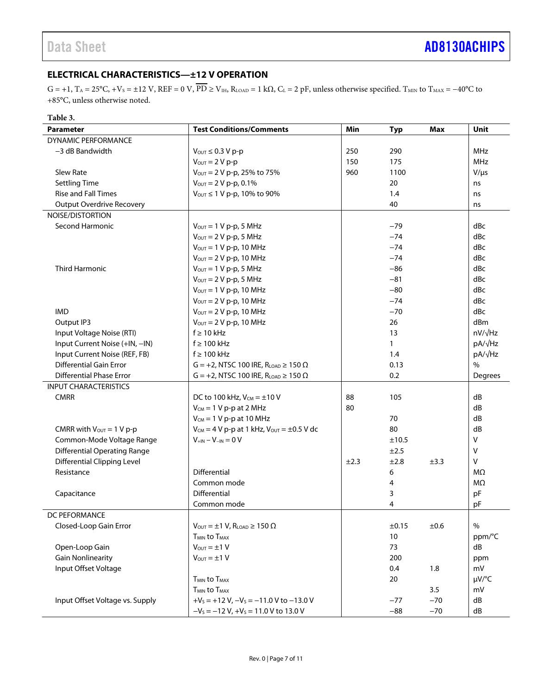### <span id="page-6-0"></span>**ELECTRICAL CHARACTERISTICS—±12 V OPERATION**

 $G = +1$ ,  $T_A = 25^{\circ}C$ ,  $+V_s = \pm 12$  V,  $REF = 0$  V,  $\overline{PD} \ge V_{IH}$ ,  $R_{LOAD} = 1$  k $\Omega$ ,  $C_L = 2$  pF, unless otherwise specified.  $T_{MIN}$  to  $T_{MAX} = -40^{\circ}C$  to +85°C, unless otherwise noted.

#### **Table 3.**

| Parameter                            | <b>Test Conditions/Comments</b><br><b>Min</b><br>Max<br><b>Typ</b>       |      |              |       | Unit           |
|--------------------------------------|--------------------------------------------------------------------------|------|--------------|-------|----------------|
| DYNAMIC PERFORMANCE                  |                                                                          |      |              |       |                |
| $-3$ dB Bandwidth                    | $V_{\text{OUT}} \leq 0.3 V p-p$                                          | 250  | 290          |       | MHz            |
|                                      | $V_{\text{OUT}} = 2 V p-p$                                               | 150  | 175          |       | <b>MHz</b>     |
| Slew Rate                            | Vout = 2 V p-p, 25% to 75%                                               | 960  | 1100         |       | $V/\mu s$      |
| <b>Settling Time</b>                 | $V_{\text{OUT}} = 2 V p-p, 0.1\%$                                        |      | 20           |       | ns             |
| <b>Rise and Fall Times</b>           | $V_{\text{OUT}} \leq 1 V p-p$ , 10% to 90%                               |      | 1.4          |       | ns             |
| <b>Output Overdrive Recovery</b>     |                                                                          |      | 40           |       | ns             |
| NOISE/DISTORTION                     |                                                                          |      |              |       |                |
| <b>Second Harmonic</b>               | $V_{OUT} = 1 V p-p$ , 5 MHz                                              |      | $-79$        |       | dBc            |
|                                      | $V_{\text{OUT}} = 2 V p-p$ , 5 MHz                                       |      | $-74$        |       | dBc            |
|                                      | $V_{\text{OUT}} = 1 V p-p$ , 10 MHz                                      |      | $-74$        |       | dBc            |
|                                      | $V_{\text{OUT}} = 2 V p-p$ , 10 MHz                                      |      | $-74$        |       | dBc            |
| Third Harmonic                       | $V_{OUT} = 1 V p-p$ , 5 MHz                                              |      | $-86$        |       | dBc            |
|                                      | $V_{\text{OUT}} = 2 V p-p$ , 5 MHz                                       |      | $-81$        |       | dBc            |
|                                      | $V_{\text{OUT}} = 1 V p-p$ , 10 MHz                                      |      | $-80$        |       | dBc            |
|                                      | $V_{\text{OUT}} = 2 V p-p$ , 10 MHz                                      |      | $-74$        |       | dBc            |
| <b>IMD</b>                           | $V_{\text{OUT}} = 2 V p-p$ , 10 MHz                                      |      | $-70$        |       | dBc            |
| Output IP3                           | $V_{\text{OUT}} = 2 V p-p$ , 10 MHz                                      |      | 26           |       | dBm            |
| Input Voltage Noise (RTI)            | $f \geq 10$ kHz                                                          |      | 13           |       | $nV/\sqrt{Hz}$ |
| Input Current Noise (+IN, -IN)       | $f \geq 100$ kHz                                                         |      | $\mathbf{1}$ |       | pA/√Hz         |
| Input Current Noise (REF, FB)        | $f \geq 100$ kHz                                                         | 1.4  |              |       | pA/√Hz         |
| <b>Differential Gain Error</b>       | $G = +2$ , NTSC 100 IRE, R <sub>LOAD</sub> $\geq 150 \Omega$             | 0.13 |              |       | $\%$           |
| <b>Differential Phase Error</b>      | $G = +2$ , NTSC 100 IRE, R <sub>LOAD</sub> $\geq 150 \Omega$             | 0.2  |              |       | Degrees        |
| <b>INPUT CHARACTERISTICS</b>         |                                                                          |      |              |       |                |
| <b>CMRR</b>                          | DC to 100 kHz, $V_{CM} = \pm 10 V$                                       | 88   | 105          |       | dB             |
|                                      | $V_{CM} = 1 V p-p$ at 2 MHz                                              | 80   |              |       | dB             |
|                                      | $V_{CM}$ = 1 V p-p at 10 MHz                                             |      | 70           |       | dB             |
| CMRR with $V_{\text{OUT}} = 1 V p-p$ | $V_{CM} = 4 V p-p$ at 1 kHz, $V_{OUT} = \pm 0.5 V$ dc<br>80              |      |              | dB    |                |
| Common-Mode Voltage Range            | $V_{\text{+IN}} - V_{\text{-IN}} = 0 V$                                  |      | ±10.5        |       | $\vee$         |
| <b>Differential Operating Range</b>  |                                                                          |      | ±2.5         |       | $\sf V$        |
| <b>Differential Clipping Level</b>   |                                                                          | ±2.3 | ±2.8         | ±3.3  | V              |
| Resistance                           | Differential                                                             |      | 6            |       | MΩ             |
|                                      | Common mode                                                              |      | 4            |       | MΩ             |
| Capacitance                          | Differential                                                             |      | 3            |       | pF             |
|                                      | Common mode                                                              |      | 4            |       | pF             |
| DC PFFORMANCF                        |                                                                          |      |              |       |                |
| Closed-Loop Gain Error               | $V_{\text{OUT}} = \pm 1 \text{ V}$ , R <sub>LOAD</sub> $\geq 150 \Omega$ |      | ±0.15        | ±0.6  | $\%$           |
|                                      | <b>T<sub>MIN</sub></b> to T <sub>MAX</sub>                               |      | $10\,$       |       | ppm/°C         |
| Open-Loop Gain                       | $V_{\text{OUT}} = \pm 1 V$                                               |      | 73           |       | dB             |
| <b>Gain Nonlinearity</b>             | $V_{OUT} = ±1 V$                                                         |      | 200          |       | ppm            |
| Input Offset Voltage                 |                                                                          |      | 0.4          | 1.8   | mV             |
|                                      | <b>TMIN to TMAX</b>                                                      |      | 20           |       | µV/°C          |
|                                      | T <sub>MIN</sub> to T <sub>MAX</sub>                                     |      |              | 3.5   | mV             |
| Input Offset Voltage vs. Supply      | $+V_s = +12 V$ , $-V_s = -11.0 V$ to $-13.0 V$                           |      | $-77$        | $-70$ | dB             |
|                                      | $-V_s = -12 V$ , $+V_s = 11.0 V$ to 13.0 V                               |      | $-88$        | $-70$ | dB             |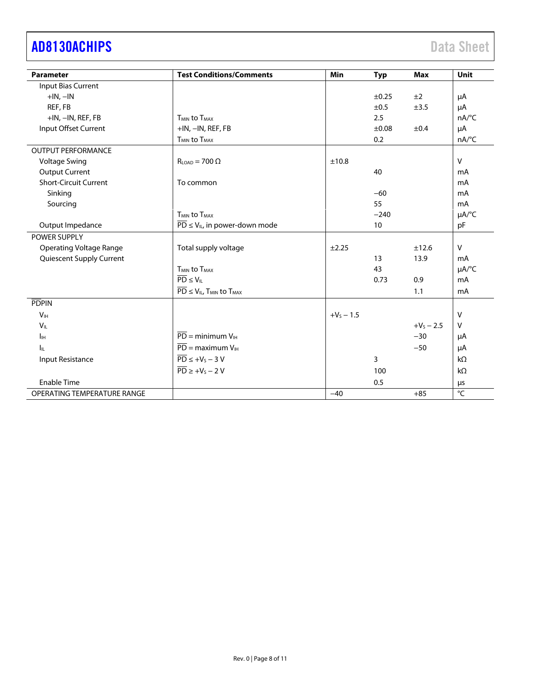# [AD8130ACHIPS](https://www.analog.com/ad8130?doc=AD8130ACHIPS.pdf) Data Sheet

| <b>Parameter</b>               | <b>Test Conditions/Comments</b>                                    | <b>Min</b>   | <b>Typ</b> | <b>Max</b>   | <b>Unit</b>            |
|--------------------------------|--------------------------------------------------------------------|--------------|------------|--------------|------------------------|
| Input Bias Current             |                                                                    |              |            |              |                        |
| $+IN, -IN$                     |                                                                    |              | ±0.25      | ±2           | μA                     |
| REF, FB                        |                                                                    |              | ±0.5       | ±3.5         | μA                     |
| $+IN, -IN, REF, FB$            | <b>TMIN to TMAX</b>                                                |              | 2.5        |              | $nA$ <sup>o</sup> C    |
| Input Offset Current           | $+IN, -IN, REF, FB$                                                |              | ±0.08      | ±0.4         | μA                     |
|                                | T <sub>MIN</sub> to T <sub>MAX</sub>                               |              | 0.2        |              | nA/°C                  |
| <b>OUTPUT PERFORMANCE</b>      |                                                                    |              |            |              |                        |
| <b>Voltage Swing</b>           | $R_{LOAD} = 700 \Omega$                                            | ±10.8        |            |              | $\vee$                 |
| <b>Output Current</b>          |                                                                    |              | 40         |              | mA                     |
| <b>Short-Circuit Current</b>   | To common                                                          |              |            |              | mA                     |
| Sinking                        |                                                                    |              | $-60$      |              | mA                     |
| Sourcing                       |                                                                    |              | 55         |              | mA                     |
|                                | <b>TMIN to TMAX</b>                                                |              | $-240$     |              | $\mu A$ <sup>o</sup> C |
| Output Impedance               | $\overline{PD} \le V_{IL}$ , in power-down mode                    |              | 10         |              | pF                     |
| <b>POWER SUPPLY</b>            |                                                                    |              |            |              |                        |
| <b>Operating Voltage Range</b> | Total supply voltage                                               | ±2.25        |            | ±12.6        | $\mathsf{V}$           |
| Quiescent Supply Current       |                                                                    |              | 13         | 13.9         | mA                     |
|                                | T <sub>MIN</sub> to T <sub>MAX</sub>                               |              | 43         |              | $\mu A$ <sup>o</sup> C |
|                                | $\overline{PD} \leq V_{IL}$                                        |              | 0.73       | 0.9          | mA                     |
|                                | $\overline{PD} \leq V_{IL}$ , T <sub>MIN</sub> to T <sub>MAX</sub> |              |            | 1.1          | mA                     |
| <b>PDPIN</b>                   |                                                                    |              |            |              |                        |
| <b>V<sub>IH</sub></b>          |                                                                    | $+V_s - 1.5$ |            |              | V                      |
| $V_{IL}$                       |                                                                    |              |            | $+V_5 - 2.5$ | $\vee$                 |
| $I_{\rm IH}$                   | $\overline{PD}$ = minimum $V_{\text{H}}$                           |              |            | $-30$        | μA                     |
| Iц.                            | $\overline{PD}$ = maximum $V_{\text{IH}}$                          |              |            | $-50$        | μA                     |
| Input Resistance               | $\overline{PD} \leq +V_S - 3V$                                     |              | 3          |              | $k\Omega$              |
|                                | $\overline{PD} \geq +V_S - 2V$                                     |              | 100        |              | $k\Omega$              |
| <b>Enable Time</b>             |                                                                    |              | 0.5        |              | μs                     |
| OPERATING TEMPERATURE RANGE    |                                                                    | $-40$        |            | $+85$        | $\rm ^{\circ}C$        |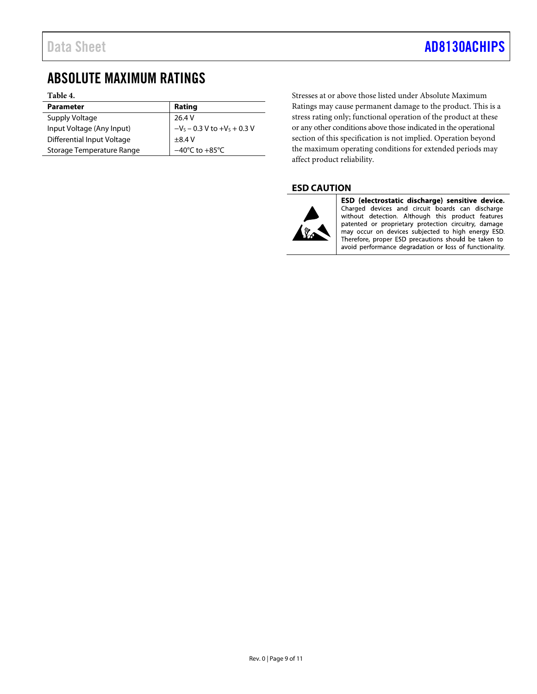### <span id="page-8-0"></span>ABSOLUTE MAXIMUM RATINGS

#### **Table 4.**

| <b>Parameter</b>           | Rating                             |
|----------------------------|------------------------------------|
| Supply Voltage             | 26.4 V                             |
| Input Voltage (Any Input)  | $-V_s - 0.3 V$ to $+V_s + 0.3 V$   |
| Differential Input Voltage | $\pm$ 8.4 V                        |
| Storage Temperature Range  | $-40^{\circ}$ C to $+85^{\circ}$ C |

Stresses at or above those listed under Absolute Maximum Ratings may cause permanent damage to the product. This is a stress rating only; functional operation of the product at these or any other conditions above those indicated in the operational section of this specification is not implied. Operation beyond the maximum operating conditions for extended periods may affect product reliability.

### <span id="page-8-1"></span>**ESD CAUTION**



ESD (electrostatic discharge) sensitive device. Charged devices and circuit boards can discharge<br>without detection. Although this product features patented or proprietary protection circuitry, damage may occur on devices subjected to high energy ESD. Therefore, proper ESD precautions should be taken to avoid performance degradation or loss of functionality.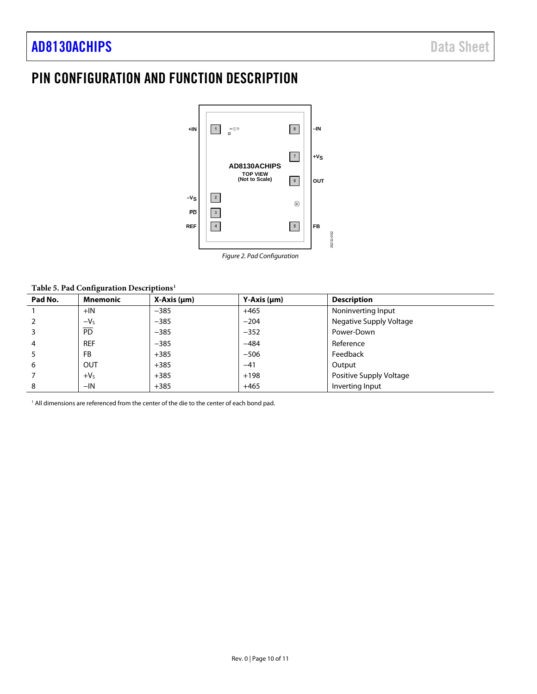### <span id="page-9-0"></span>PIN CONFIGURATION AND FUNCTION DESCRIPTION



*Figure 2. Pad Configuration*

26231-002

#### **Table 5. Pad Configuration Descriptions1**

| Pad No.        | <b>Mnemonic</b> | $X-Axis$ ( $\mu$ m) | $Y-Axis$ ( $µm$ ) | <b>Description</b>      |
|----------------|-----------------|---------------------|-------------------|-------------------------|
|                | $+IN$           | $-385$              | $+465$            | Noninverting Input      |
| 2              | $-VS$           | $-385$              | $-204$            | Negative Supply Voltage |
| 3              | $\overline{PD}$ | $-385$              | $-352$            | Power-Down              |
| $\overline{4}$ | <b>REF</b>      | $-385$              | $-484$            | Reference               |
| 5              | <b>FB</b>       | $+385$              | $-506$            | Feedback                |
| 6              | <b>OUT</b>      | $+385$              | $-41$             | Output                  |
|                | $+VS$           | $+385$              | $+198$            | Positive Supply Voltage |
| 8              | $-IN$           | $+385$              | $+465$            | Inverting Input         |

<sup>1</sup> All dimensions are referenced from the center of the die to the center of each bond pad.